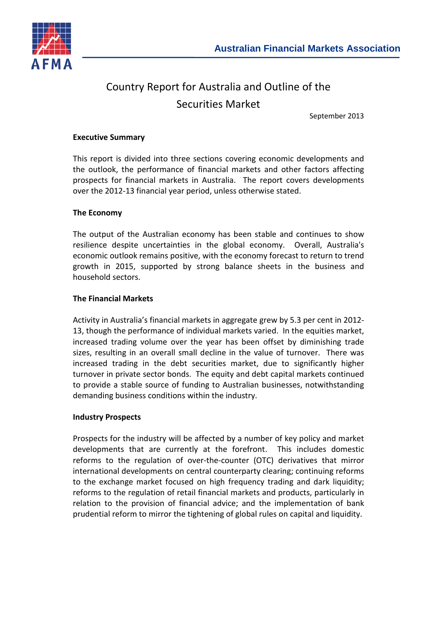

# Country Report for Australia and Outline of the Securities Market

September 2013

#### **Executive Summary**

This report is divided into three sections covering economic developments and the outlook, the performance of financial markets and other factors affecting prospects for financial markets in Australia. The report covers developments over the 2012-13 financial year period, unless otherwise stated.

#### **The Economy**

The output of the Australian economy has been stable and continues to show resilience despite uncertainties in the global economy. Overall, Australia's economic outlook remains positive, with the economy forecast to return to trend growth in 2015, supported by strong balance sheets in the business and household sectors.

#### **The Financial Markets**

Activity in Australia's financial markets in aggregate grew by 5.3 per cent in 2012- 13, though the performance of individual markets varied. In the equities market, increased trading volume over the year has been offset by diminishing trade sizes, resulting in an overall small decline in the value of turnover. There was increased trading in the debt securities market, due to significantly higher turnover in private sector bonds. The equity and debt capital markets continued to provide a stable source of funding to Australian businesses, notwithstanding demanding business conditions within the industry.

#### **Industry Prospects**

Prospects for the industry will be affected by a number of key policy and market developments that are currently at the forefront. This includes domestic reforms to the regulation of over-the-counter (OTC) derivatives that mirror international developments on central counterparty clearing; continuing reforms to the exchange market focused on high frequency trading and dark liquidity; reforms to the regulation of retail financial markets and products, particularly in relation to the provision of financial advice; and the implementation of bank prudential reform to mirror the tightening of global rules on capital and liquidity.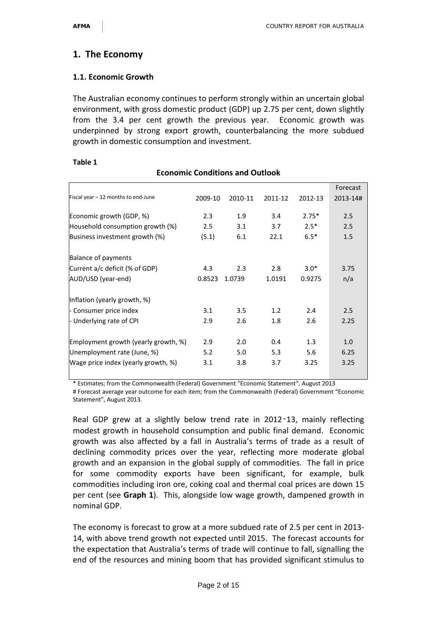# **1. The Economy**

## **1.1. Economic Growth**

The Australian economy continues to perform strongly within an uncertain global environment, with gross domestic product (GDP) up 2.75 per cent, down slightly from the 3.4 per cent growth the previous year. Economic growth was underpinned by strong export growth, counterbalancing the more subdued growth in domestic consumption and investment.

| <b>Economic Conditions and Outlook</b> |         |         |         |         |          |  |  |
|----------------------------------------|---------|---------|---------|---------|----------|--|--|
|                                        |         |         |         |         | Forecast |  |  |
| Fiscal year - 12 months to end-June    | 2009-10 | 2010-11 | 2011-12 | 2012-13 | 2013-14# |  |  |
| Economic growth (GDP, %)               | 2.3     | 1.9     | 3.4     | $2.75*$ | 2.5      |  |  |
| Household consumption growth (%)       | 2.5     | 3.1     | 3.7     | $2.5*$  | 2.5      |  |  |
| Business investment growth (%)         | (5.1)   | 6.1     | 22.1    | $6.5*$  | 1.5      |  |  |
| Balance of payments                    |         |         |         |         |          |  |  |
| Current a/c deficit (% of GDP)         | 4.3     | 2.3     | 2.8     | $3.0*$  | 3.75     |  |  |
| AUD/USD (year-end)                     | 0.8523  | 1.0739  | 1.0191  | 0.9275  | n/a      |  |  |
| Inflation (yearly growth, %)           |         |         |         |         |          |  |  |
| - Consumer price index                 | 3.1     | 3.5     | 1.2     | 2.4     | 2.5      |  |  |
| - Underlying rate of CPI               | 2.9     | 2.6     | 1.8     | 2.6     | 2.25     |  |  |
| Employment growth (yearly growth, %)   | 2.9     | 2.0     | 0.4     | 1.3     | 1.0      |  |  |
| Unemployment rate (June, %)            | 5.2     | 5.0     | 5.3     | 5.6     | 6.25     |  |  |
| Wage price index (yearly growth, %)    | 3.1     | 3.8     | 3.7     | 3.25    | 3.25     |  |  |

#### **Table 1**

\* Estimates; from the Commonwealth (Federal) Government "Economic Statement", August 2013

# Forecast average year outcome for each item; from the Commonwealth (Federal) Government "Economic Statement", August 2013.

Real GDP grew at a slightly below trend rate in 2012-13, mainly reflecting modest growth in household consumption and public final demand. Economic growth was also affected by a fall in Australia's terms of trade as a result of declining commodity prices over the year, reflecting more moderate global growth and an expansion in the global supply of commodities. The fall in price for some commodity exports have been significant, for example, bulk commodities including iron ore, coking coal and thermal coal prices are down 15 per cent (see **Graph 1**). This, alongside low wage growth, dampened growth in nominal GDP.

The economy is forecast to grow at a more subdued rate of 2.5 per cent in 2013- 14, with above trend growth not expected until 2015. The forecast accounts for the expectation that Australia's terms of trade will continue to fall, signalling the end of the resources and mining boom that has provided significant stimulus to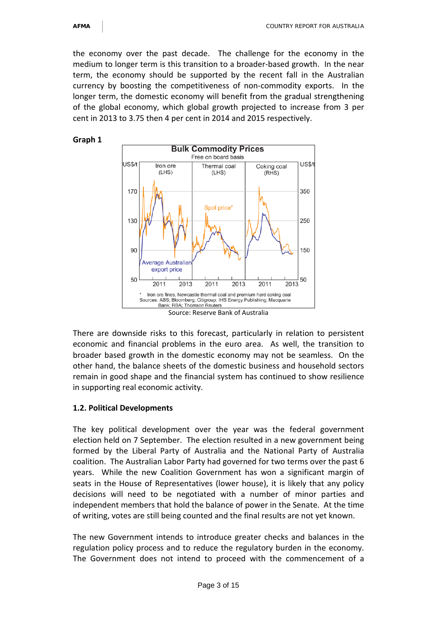the economy over the past decade. The challenge for the economy in the medium to longer term is this transition to a broader-based growth. In the near term, the economy should be supported by the recent fall in the Australian currency by boosting the competitiveness of non-commodity exports. In the longer term, the domestic economy will benefit from the gradual strengthening of the global economy, which global growth projected to increase from 3 per cent in 2013 to 3.75 then 4 per cent in 2014 and 2015 respectively.

#### **Graph 1**



There are downside risks to this forecast, particularly in relation to persistent economic and financial problems in the euro area. As well, the transition to broader based growth in the domestic economy may not be seamless. On the other hand, the balance sheets of the domestic business and household sectors remain in good shape and the financial system has continued to show resilience in supporting real economic activity.

#### **1.2. Political Developments**

The key political development over the year was the federal government election held on 7 September. The election resulted in a new government being formed by the Liberal Party of Australia and the National Party of Australia coalition. The Australian Labor Party had governed for two terms over the past 6 years. While the new Coalition Government has won a significant margin of seats in the House of Representatives (lower house), it is likely that any policy decisions will need to be negotiated with a number of minor parties and independent members that hold the balance of power in the Senate. At the time of writing, votes are still being counted and the final results are not yet known.

The new Government intends to introduce greater checks and balances in the regulation policy process and to reduce the regulatory burden in the economy. The Government does not intend to proceed with the commencement of a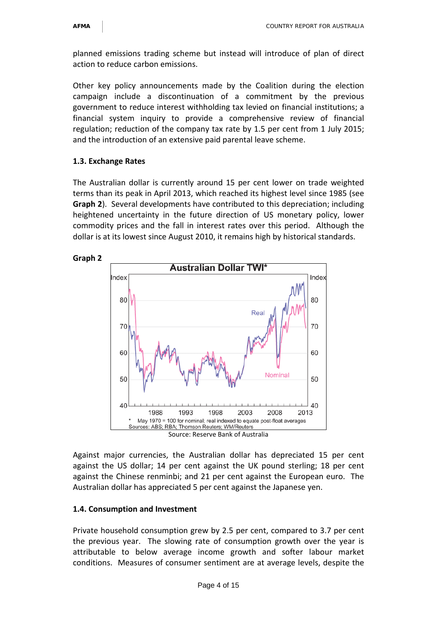planned emissions trading scheme but instead will introduce of plan of direct action to reduce carbon emissions.

Other key policy announcements made by the Coalition during the election campaign include a discontinuation of a commitment by the previous government to reduce interest withholding tax levied on financial institutions; a financial system inquiry to provide a comprehensive review of financial regulation; reduction of the company tax rate by 1.5 per cent from 1 July 2015; and the introduction of an extensive paid parental leave scheme.

#### **1.3. Exchange Rates**

The Australian dollar is currently around 15 per cent lower on trade weighted terms than its peak in April 2013, which reached its highest level since 1985 (see **Graph 2**). Several developments have contributed to this depreciation; including heightened uncertainty in the future direction of US monetary policy, lower commodity prices and the fall in interest rates over this period. Although the dollar is at its lowest since August 2010, it remains high by historical standards.



Against major currencies, the Australian dollar has depreciated 15 per cent against the US dollar; 14 per cent against the UK pound sterling; 18 per cent against the Chinese renminbi; and 21 per cent against the European euro. The Australian dollar has appreciated 5 per cent against the Japanese yen.

#### **1.4. Consumption and Investment**

Private household consumption grew by 2.5 per cent, compared to 3.7 per cent the previous year. The slowing rate of consumption growth over the year is attributable to below average income growth and softer labour market conditions. Measures of consumer sentiment are at average levels, despite the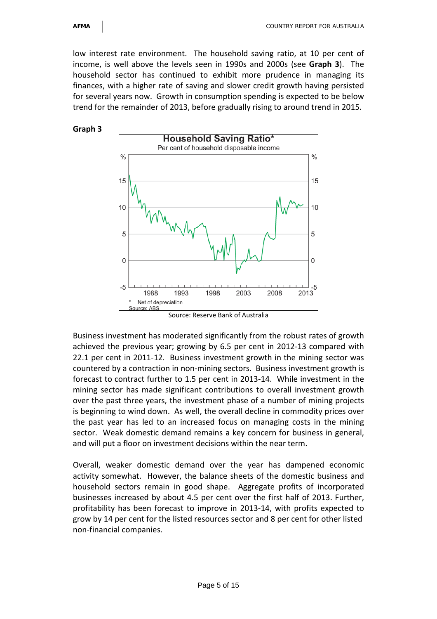low interest rate environment. The household saving ratio, at 10 per cent of income, is well above the levels seen in 1990s and 2000s (see **Graph 3**). The household sector has continued to exhibit more prudence in managing its finances, with a higher rate of saving and slower credit growth having persisted for several years now. Growth in consumption spending is expected to be below trend for the remainder of 2013, before gradually rising to around trend in 2015.





Source: Reserve Bank of Australia

Business investment has moderated significantly from the robust rates of growth achieved the previous year; growing by 6.5 per cent in 2012-13 compared with 22.1 per cent in 2011-12. Business investment growth in the mining sector was countered by a contraction in non-mining sectors. Business investment growth is forecast to contract further to 1.5 per cent in 2013-14. While investment in the mining sector has made significant contributions to overall investment growth over the past three years, the investment phase of a number of mining projects is beginning to wind down. As well, the overall decline in commodity prices over the past year has led to an increased focus on managing costs in the mining sector. Weak domestic demand remains a key concern for business in general, and will put a floor on investment decisions within the near term.

Overall, weaker domestic demand over the year has dampened economic activity somewhat. However, the balance sheets of the domestic business and household sectors remain in good shape. Aggregate profits of incorporated businesses increased by about 4.5 per cent over the first half of 2013. Further, profitability has been forecast to improve in 2013-14, with profits expected to grow by 14 per cent for the listed resources sector and 8 per cent for other listed non-financial companies.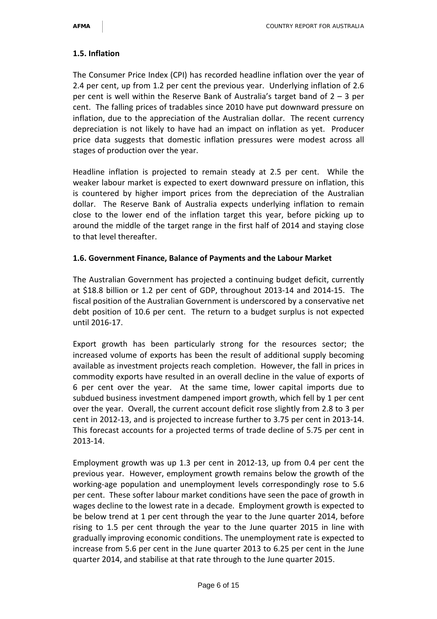## **1.5. Inflation**

The Consumer Price Index (CPI) has recorded headline inflation over the year of 2.4 per cent, up from 1.2 per cent the previous year. Underlying inflation of 2.6 per cent is well within the Reserve Bank of Australia's target band of  $2 - 3$  per cent. The falling prices of tradables since 2010 have put downward pressure on inflation, due to the appreciation of the Australian dollar. The recent currency depreciation is not likely to have had an impact on inflation as yet. Producer price data suggests that domestic inflation pressures were modest across all stages of production over the year.

Headline inflation is projected to remain steady at 2.5 per cent. While the weaker labour market is expected to exert downward pressure on inflation, this is countered by higher import prices from the depreciation of the Australian dollar. The Reserve Bank of Australia expects underlying inflation to remain close to the lower end of the inflation target this year, before picking up to around the middle of the target range in the first half of 2014 and staying close to that level thereafter.

## **1.6. Government Finance, Balance of Payments and the Labour Market**

The Australian Government has projected a continuing budget deficit, currently at \$18.8 billion or 1.2 per cent of GDP, throughout 2013-14 and 2014-15. The fiscal position of the Australian Government is underscored by a conservative net debt position of 10.6 per cent. The return to a budget surplus is not expected until 2016-17.

Export growth has been particularly strong for the resources sector; the increased volume of exports has been the result of additional supply becoming available as investment projects reach completion. However, the fall in prices in commodity exports have resulted in an overall decline in the value of exports of 6 per cent over the year. At the same time, lower capital imports due to subdued business investment dampened import growth, which fell by 1 per cent over the year. Overall, the current account deficit rose slightly from 2.8 to 3 per cent in 2012-13, and is projected to increase further to 3.75 per cent in 2013-14. This forecast accounts for a projected terms of trade decline of 5.75 per cent in 2013-14.

Employment growth was up 1.3 per cent in 2012-13, up from 0.4 per cent the previous year. However, employment growth remains below the growth of the working-age population and unemployment levels correspondingly rose to 5.6 per cent. These softer labour market conditions have seen the pace of growth in wages decline to the lowest rate in a decade. Employment growth is expected to be below trend at 1 per cent through the year to the June quarter 2014, before rising to 1.5 per cent through the year to the June quarter 2015 in line with gradually improving economic conditions. The unemployment rate is expected to increase from 5.6 per cent in the June quarter 2013 to 6.25 per cent in the June quarter 2014, and stabilise at that rate through to the June quarter 2015.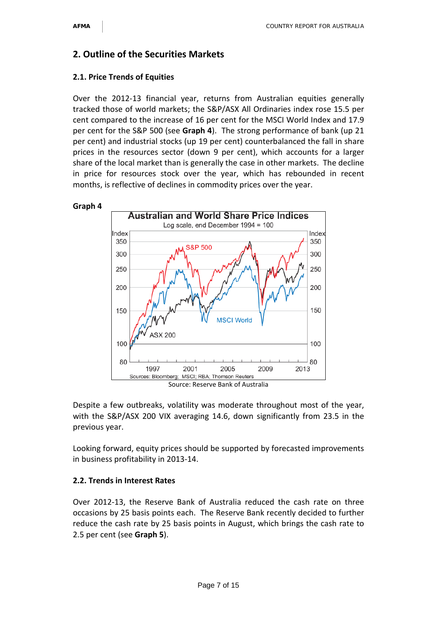# **2. Outline of the Securities Markets**

#### **2.1. Price Trends of Equities**

Over the 2012-13 financial year, returns from Australian equities generally tracked those of world markets; the S&P/ASX All Ordinaries index rose 15.5 per cent compared to the increase of 16 per cent for the MSCI World Index and 17.9 per cent for the S&P 500 (see **Graph 4**). The strong performance of bank (up 21 per cent) and industrial stocks (up 19 per cent) counterbalanced the fall in share prices in the resources sector (down 9 per cent), which accounts for a larger share of the local market than is generally the case in other markets. The decline in price for resources stock over the year, which has rebounded in recent months, is reflective of declines in commodity prices over the year.



Despite a few outbreaks, volatility was moderate throughout most of the year, with the S&P/ASX 200 VIX averaging 14.6, down significantly from 23.5 in the previous year.

Looking forward, equity prices should be supported by forecasted improvements in business profitability in 2013-14.

## **2.2. Trends in Interest Rates**

Over 2012-13, the Reserve Bank of Australia reduced the cash rate on three occasions by 25 basis points each. The Reserve Bank recently decided to further reduce the cash rate by 25 basis points in August, which brings the cash rate to 2.5 per cent (see **Graph 5**).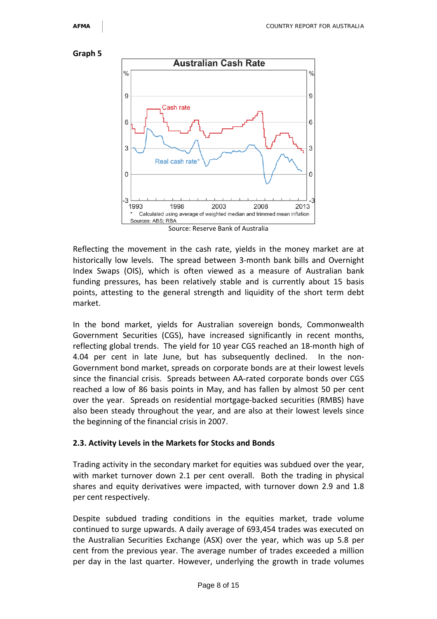



Source: Reserve Bank of Australia

Reflecting the movement in the cash rate, yields in the money market are at historically low levels. The spread between 3-month bank bills and Overnight Index Swaps (OIS), which is often viewed as a measure of Australian bank funding pressures, has been relatively stable and is currently about 15 basis points, attesting to the general strength and liquidity of the short term debt market.

In the bond market, yields for Australian sovereign bonds, Commonwealth Government Securities (CGS), have increased significantly in recent months, reflecting global trends. The yield for 10 year CGS reached an 18-month high of 4.04 per cent in late June, but has subsequently declined. In the non-Government bond market, spreads on corporate bonds are at their lowest levels since the financial crisis. Spreads between AA-rated corporate bonds over CGS reached a low of 86 basis points in May, and has fallen by almost 50 per cent over the year. Spreads on residential mortgage-backed securities (RMBS) have also been steady throughout the year, and are also at their lowest levels since the beginning of the financial crisis in 2007.

#### **2.3. Activity Levels in the Markets for Stocks and Bonds**

Trading activity in the secondary market for equities was subdued over the year, with market turnover down 2.1 per cent overall. Both the trading in physical shares and equity derivatives were impacted, with turnover down 2.9 and 1.8 per cent respectively.

Despite subdued trading conditions in the equities market, trade volume continued to surge upwards. A daily average of 693,454 trades was executed on the Australian Securities Exchange (ASX) over the year, which was up 5.8 per cent from the previous year. The average number of trades exceeded a million per day in the last quarter. However, underlying the growth in trade volumes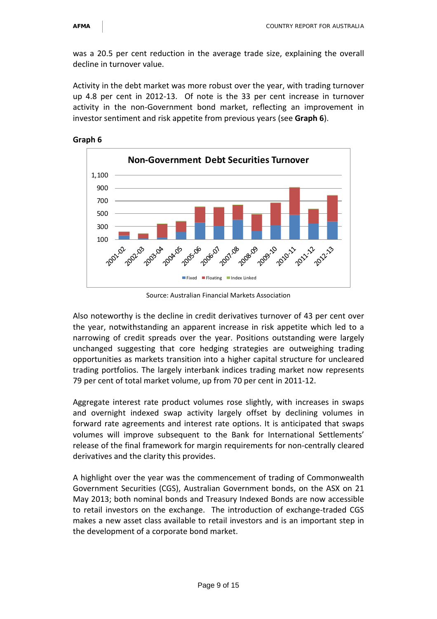was a 20.5 per cent reduction in the average trade size, explaining the overall decline in turnover value.

Activity in the debt market was more robust over the year, with trading turnover up 4.8 per cent in 2012-13. Of note is the 33 per cent increase in turnover activity in the non-Government bond market, reflecting an improvement in investor sentiment and risk appetite from previous years (see **Graph 6**).





Source: Australian Financial Markets Association

Also noteworthy is the decline in credit derivatives turnover of 43 per cent over the year, notwithstanding an apparent increase in risk appetite which led to a narrowing of credit spreads over the year. Positions outstanding were largely unchanged suggesting that core hedging strategies are outweighing trading opportunities as markets transition into a higher capital structure for uncleared trading portfolios. The largely interbank indices trading market now represents 79 per cent of total market volume, up from 70 per cent in 2011-12.

Aggregate interest rate product volumes rose slightly, with increases in swaps and overnight indexed swap activity largely offset by declining volumes in forward rate agreements and interest rate options. It is anticipated that swaps volumes will improve subsequent to the Bank for International Settlements' release of the final framework for margin requirements for non-centrally cleared derivatives and the clarity this provides.

A highlight over the year was the commencement of trading of Commonwealth Government Securities (CGS), Australian Government bonds, on the ASX on 21 May 2013; both nominal bonds and Treasury Indexed Bonds are now accessible to retail investors on the exchange. The introduction of exchange-traded CGS makes a new asset class available to retail investors and is an important step in the development of a corporate bond market.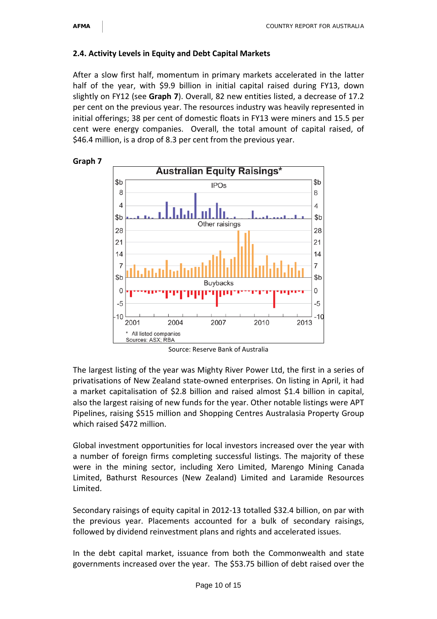#### **2.4. Activity Levels in Equity and Debt Capital Markets**

After a slow first half, momentum in primary markets accelerated in the latter half of the year, with \$9.9 billion in initial capital raised during FY13, down slightly on FY12 (see **Graph 7**). Overall, 82 new entities listed, a decrease of 17.2 per cent on the previous year. The resources industry was heavily represented in initial offerings; 38 per cent of domestic floats in FY13 were miners and 15.5 per cent were energy companies. Overall, the total amount of capital raised, of \$46.4 million, is a drop of 8.3 per cent from the previous year.



Source: Reserve Bank of Australia

The largest listing of the year was Mighty River Power Ltd, the first in a series of privatisations of New Zealand state-owned enterprises. On listing in April, it had a market capitalisation of \$2.8 billion and raised almost \$1.4 billion in capital, also the largest raising of new funds for the year. Other notable listings were APT Pipelines, raising \$515 million and Shopping Centres Australasia Property Group which raised \$472 million.

Global investment opportunities for local investors increased over the year with a number of foreign firms completing successful listings. The majority of these were in the mining sector, including Xero Limited, Marengo Mining Canada Limited, Bathurst Resources (New Zealand) Limited and Laramide Resources Limited.

Secondary raisings of equity capital in 2012-13 totalled \$32.4 billion, on par with the previous year. Placements accounted for a bulk of secondary raisings, followed by dividend reinvestment plans and rights and accelerated issues.

In the debt capital market, issuance from both the Commonwealth and state governments increased over the year. The \$53.75 billion of debt raised over the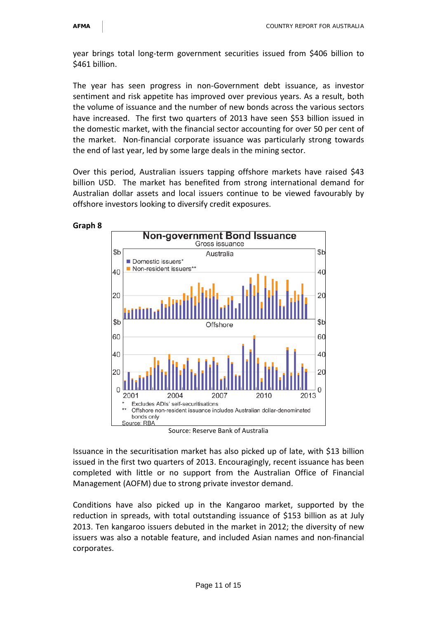year brings total long-term government securities issued from \$406 billion to \$461 billion.

The year has seen progress in non-Government debt issuance, as investor sentiment and risk appetite has improved over previous years. As a result, both the volume of issuance and the number of new bonds across the various sectors have increased. The first two quarters of 2013 have seen \$53 billion issued in the domestic market, with the financial sector accounting for over 50 per cent of the market. Non-financial corporate issuance was particularly strong towards the end of last year, led by some large deals in the mining sector.

Over this period, Australian issuers tapping offshore markets have raised \$43 billion USD. The market has benefited from strong international demand for Australian dollar assets and local issuers continue to be viewed favourably by offshore investors looking to diversify credit exposures.



Issuance in the securitisation market has also picked up of late, with \$13 billion issued in the first two quarters of 2013. Encouragingly, recent issuance has been completed with little or no support from the Australian Office of Financial Management (AOFM) due to strong private investor demand.

Conditions have also picked up in the Kangaroo market, supported by the reduction in spreads, with total outstanding issuance of \$153 billion as at July 2013. Ten kangaroo issuers debuted in the market in 2012; the diversity of new issuers was also a notable feature, and included Asian names and non-financial corporates.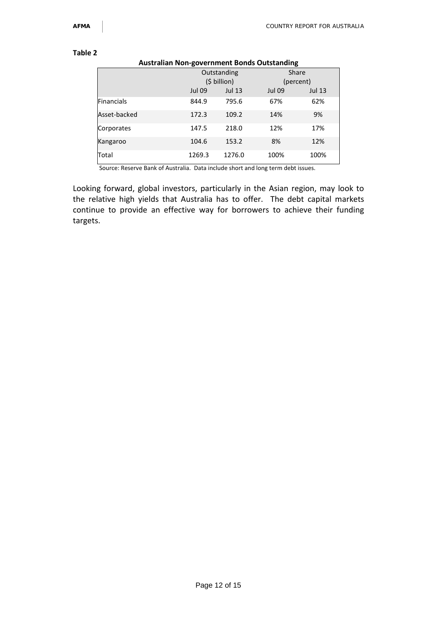#### **Table 2**

#### **Australian Non-government Bonds Outstanding**

|                   |               | Outstanding   | Share         |               |
|-------------------|---------------|---------------|---------------|---------------|
|                   |               | (\$ billion)  |               | (percent)     |
|                   | <b>Jul 09</b> | <b>Jul 13</b> | <b>Jul 09</b> | <b>Jul 13</b> |
| <b>Financials</b> | 844.9         | 795.6         | 67%           | 62%           |
| Asset-backed      | 172.3         | 109.2         | 14%           | 9%            |
| Corporates        | 147.5         | 218.0         | 12%           | 17%           |
| Kangaroo          | 104.6         | 153.2         | 8%            | 12%           |
| Total             | 1269.3        | 1276.0        | 100%          | 100%          |

Source: Reserve Bank of Australia. Data include short and long term debt issues.

Looking forward, global investors, particularly in the Asian region, may look to the relative high yields that Australia has to offer. The debt capital markets continue to provide an effective way for borrowers to achieve their funding targets.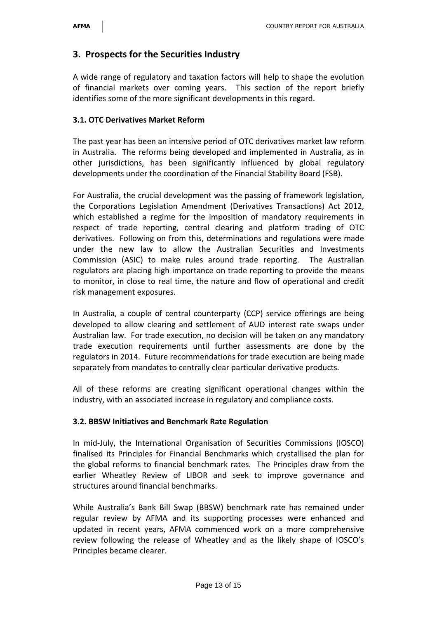## **3. Prospects for the Securities Industry**

A wide range of regulatory and taxation factors will help to shape the evolution of financial markets over coming years. This section of the report briefly identifies some of the more significant developments in this regard.

#### **3.1. OTC Derivatives Market Reform**

The past year has been an intensive period of OTC derivatives market law reform in Australia. The reforms being developed and implemented in Australia, as in other jurisdictions, has been significantly influenced by global regulatory developments under the coordination of the Financial Stability Board (FSB).

For Australia, the crucial development was the passing of framework legislation, the Corporations Legislation Amendment (Derivatives Transactions) Act 2012, which established a regime for the imposition of mandatory requirements in respect of trade reporting, central clearing and platform trading of OTC derivatives. Following on from this, determinations and regulations were made under the new law to allow the Australian Securities and Investments Commission (ASIC) to make rules around trade reporting. The Australian regulators are placing high importance on trade reporting to provide the means to monitor, in close to real time, the nature and flow of operational and credit risk management exposures.

In Australia, a couple of central counterparty (CCP) service offerings are being developed to allow clearing and settlement of AUD interest rate swaps under Australian law. For trade execution, no decision will be taken on any mandatory trade execution requirements until further assessments are done by the regulators in 2014. Future recommendations for trade execution are being made separately from mandates to centrally clear particular derivative products.

All of these reforms are creating significant operational changes within the industry, with an associated increase in regulatory and compliance costs.

#### **3.2. BBSW Initiatives and Benchmark Rate Regulation**

In mid-July, the International Organisation of Securities Commissions (IOSCO) finalised its Principles for Financial Benchmarks which crystallised the plan for the global reforms to financial benchmark rates. The Principles draw from the earlier Wheatley Review of LIBOR and seek to improve governance and structures around financial benchmarks.

While Australia's Bank Bill Swap (BBSW) benchmark rate has remained under regular review by AFMA and its supporting processes were enhanced and updated in recent years, AFMA commenced work on a more comprehensive review following the release of Wheatley and as the likely shape of IOSCO's Principles became clearer.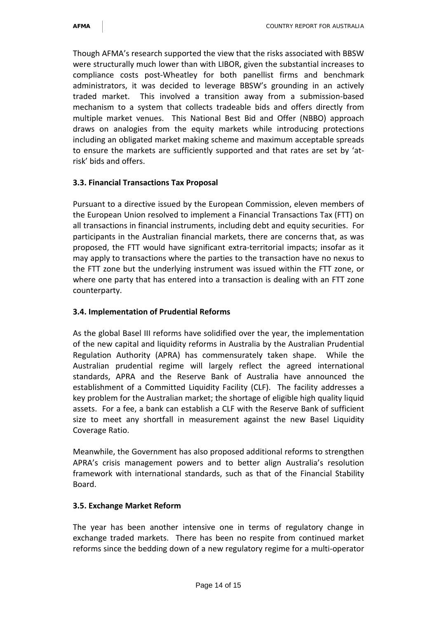Though AFMA's research supported the view that the risks associated with BBSW were structurally much lower than with LIBOR, given the substantial increases to compliance costs post-Wheatley for both panellist firms and benchmark administrators, it was decided to leverage BBSW's grounding in an actively traded market. This involved a transition away from a submission-based mechanism to a system that collects tradeable bids and offers directly from multiple market venues. This National Best Bid and Offer (NBBO) approach draws on analogies from the equity markets while introducing protections including an obligated market making scheme and maximum acceptable spreads to ensure the markets are sufficiently supported and that rates are set by 'atrisk' bids and offers.

#### **3.3. Financial Transactions Tax Proposal**

Pursuant to a directive issued by the European Commission, eleven members of the European Union resolved to implement a Financial Transactions Tax (FTT) on all transactions in financial instruments, including debt and equity securities. For participants in the Australian financial markets, there are concerns that, as was proposed, the FTT would have significant extra-territorial impacts; insofar as it may apply to transactions where the parties to the transaction have no nexus to the FTT zone but the underlying instrument was issued within the FTT zone, or where one party that has entered into a transaction is dealing with an FTT zone counterparty.

#### **3.4. Implementation of Prudential Reforms**

As the global Basel III reforms have solidified over the year, the implementation of the new capital and liquidity reforms in Australia by the Australian Prudential Regulation Authority (APRA) has commensurately taken shape. While the Australian prudential regime will largely reflect the agreed international standards, APRA and the Reserve Bank of Australia have announced the establishment of a Committed Liquidity Facility (CLF). The facility addresses a key problem for the Australian market; the shortage of eligible high quality liquid assets. For a fee, a bank can establish a CLF with the Reserve Bank of sufficient size to meet any shortfall in measurement against the new Basel Liquidity Coverage Ratio.

Meanwhile, the Government has also proposed additional reforms to strengthen APRA's crisis management powers and to better align Australia's resolution framework with international standards, such as that of the Financial Stability Board.

#### **3.5. Exchange Market Reform**

The year has been another intensive one in terms of regulatory change in exchange traded markets. There has been no respite from continued market reforms since the bedding down of a new regulatory regime for a multi-operator